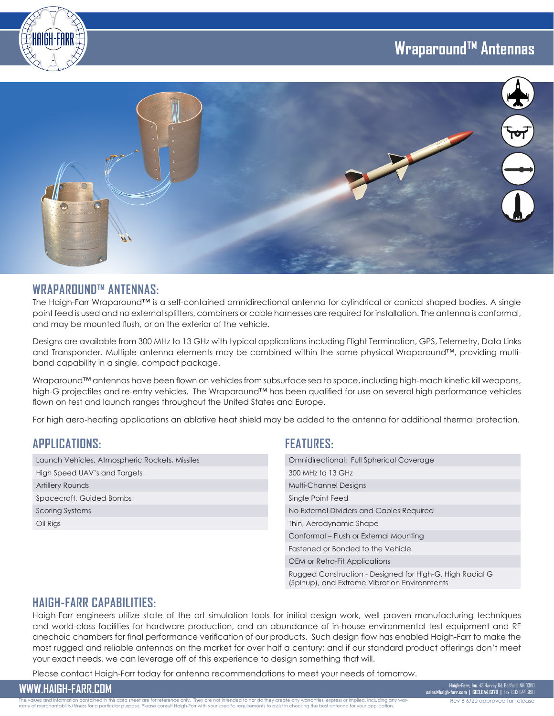# **Wraparound™ Antennas**





#### **WRAPAROUND™ ANTENNAS:**

The Haigh-Farr Wraparound™ is a self-contained omnidirectional antenna for cylindrical or conical shaped bodies. A single point feed is used and no external splitters, combiners or cable harnesses are required for installation. The antenna is conformal, and may be mounted flush, or on the exterior of the vehicle.

Designs are available from 300 MHz to 13 GHz with typical applications including Flight Termination, GPS, Telemetry, Data Links and Transponder. Multiple antenna elements may be combined within the same physical Wraparound™, providing multiband capability in a single, compact package.

Wraparound™ antennas have been flown on vehicles from subsurface sea to space, including high-mach kinetic kill weapons, high-G projectiles and re-entry vehicles. The Wraparound™ has been qualified for use on several high performance vehicles flown on test and launch ranges throughout the United States and Europe.

For high aero-heating applications an ablative heat shield may be added to the antenna for additional thermal protection.

#### **APPLICATIONS:**

| Launch Vehicles, Atmospheric Rockets, Missiles |  |
|------------------------------------------------|--|
| High Speed UAV's and Targets                   |  |
| <b>Artillery Rounds</b>                        |  |
| Spacecraft, Guided Bombs                       |  |
| Scoring Systems                                |  |
| Oil Rigs                                       |  |

#### **FEATURES:**

| <b>Omnidirectional: Full Spherical Coverage</b>                                                          |  |
|----------------------------------------------------------------------------------------------------------|--|
| 300 MHz to 13 GHz                                                                                        |  |
| <b>Multi-Channel Designs</b>                                                                             |  |
| Single Point Feed                                                                                        |  |
| No External Dividers and Cables Required                                                                 |  |
| Thin, Aerodynamic Shape                                                                                  |  |
| Conformal – Flush or External Mounting                                                                   |  |
| Fastened or Bonded to the Vehicle                                                                        |  |
| OEM or Retro-Fit Applications                                                                            |  |
| Rugged Construction - Designed for High-G, High Radial G<br>(Spinup), and Extreme Vibration Environments |  |

#### **HAIGH-FARR CAPABILITIES:**

Haigh-Farr engineers utilize state of the art simulation tools for initial design work, well proven manufacturing techniques and world-class facilities for hardware production, and an abundance of in-house environmental test equipment and RF anechoic chambers for final performance verification of our products. Such design flow has enabled Haigh-Farr to make the most rugged and reliable antennas on the market for over half a century; and if our standard product offerings don't meet your exact needs, we can leverage off of this experience to design something that will.

Please contact Haigh-Farr today for antenna recommendations to meet your needs of tomorrow.

**WWW.HAIGH-FARR.COM Haigh-Farr, Inc.** 43 Harvey Rd, Bedford, NH 03110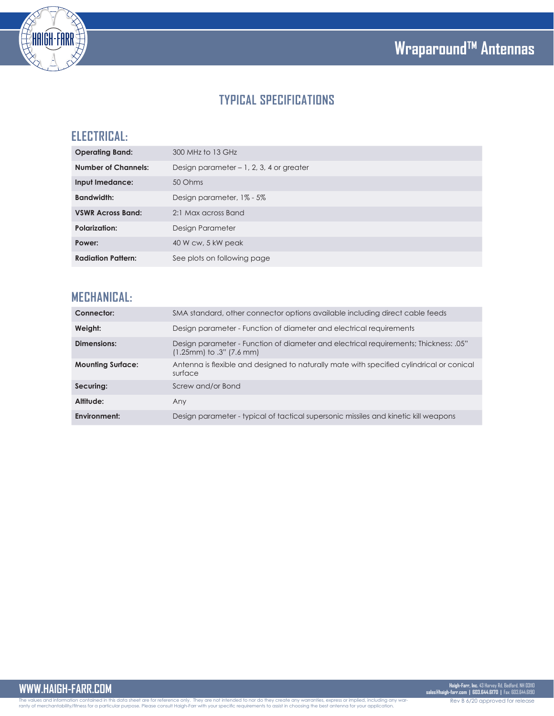



# **TYPICAL SPECIFICATIONS**

## **ELECTRICAL:**

| <b>Operating Band:</b>     | 300 MHz to 13 GHz                        |
|----------------------------|------------------------------------------|
| <b>Number of Channels:</b> | Design parameter - 1, 2, 3, 4 or greater |
| Input Imedance:            | 50 Ohms                                  |
| <b>Bandwidth:</b>          | Design parameter, 1% - 5%                |
| <b>VSWR Across Band:</b>   | 2:1 Max across Band                      |
| <b>Polarization:</b>       | Design Parameter                         |
| Power:                     | 40 W cw, 5 kW peak                       |
| <b>Radiation Pattern:</b>  | See plots on following page              |
|                            |                                          |

### **MECHANICAL:**

| Connector:               | SMA standard, other connector options available including direct cable feeds                                     |
|--------------------------|------------------------------------------------------------------------------------------------------------------|
| Weight:                  | Design parameter - Function of diameter and electrical requirements                                              |
| Dimensions:              | Design parameter - Function of diameter and electrical requirements; Thickness: .05"<br>(1.25mm) to .3" (7.6 mm) |
| <b>Mounting Surface:</b> | Antenna is flexible and designed to naturally mate with specified cylindrical or conical<br>surface              |
| Securing:                | Screw and/or Bond                                                                                                |
| Altitude:                | Any                                                                                                              |
| Environment:             | Design parameter - typical of tactical supersonic missiles and kinetic kill weapons                              |

The values and information contained in this data sheet are for reference only. They are not intended to nor do they create any warranties, express or implied, including any war-<br>ranty of merchantability/fitness for a part